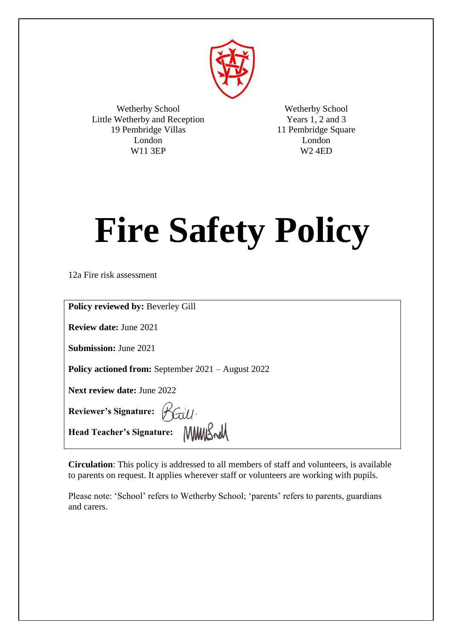

Wetherby School Little Wetherby and Reception 19 Pembridge Villas London W11 3EP

Wetherby School Years 1, 2 and 3 11 Pembridge Square London W2 4ED

# **Fire Safety Policy**

12a Fire risk assessment

| <b>Policy reviewed by: Beverley Gill</b>                        |
|-----------------------------------------------------------------|
| <b>Review date: June 2021</b>                                   |
| <b>Submission:</b> June 2021                                    |
| <b>Policy actioned from:</b> September 2021 – August 2022       |
| <b>Next review date: June 2022</b>                              |
| Reviewer's Signature: Baill.<br>Head Teacher's Signature: MMSwM |
|                                                                 |

**Circulation**: This policy is addressed to all members of staff and volunteers, is available to parents on request. It applies wherever staff or volunteers are working with pupils.

Please note: 'School' refers to Wetherby School; 'parents' refers to parents, guardians and carers.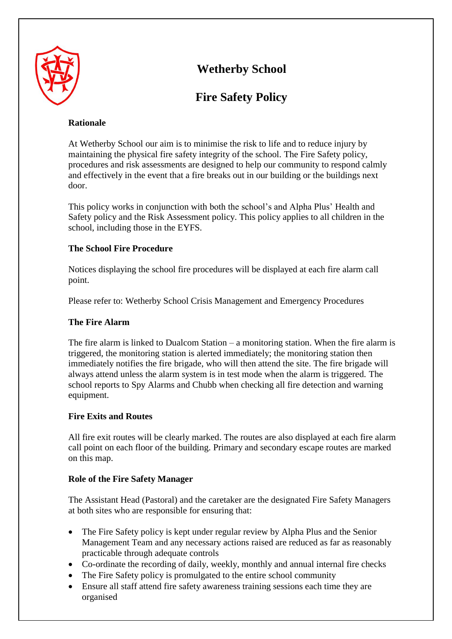

# **Wetherby School**

# **Fire Safety Policy**

# **Rationale**

At Wetherby School our aim is to minimise the risk to life and to reduce injury by maintaining the physical fire safety integrity of the school. The Fire Safety policy, procedures and risk assessments are designed to help our community to respond calmly and effectively in the event that a fire breaks out in our building or the buildings next door.

This policy works in conjunction with both the school's and Alpha Plus' Health and Safety policy and the Risk Assessment policy. This policy applies to all children in the school, including those in the EYFS.

# **The School Fire Procedure**

Notices displaying the school fire procedures will be displayed at each fire alarm call point.

Please refer to: Wetherby School Crisis Management and Emergency Procedures

# **The Fire Alarm**

The fire alarm is linked to Dualcom Station – a monitoring station. When the fire alarm is triggered, the monitoring station is alerted immediately; the monitoring station then immediately notifies the fire brigade, who will then attend the site. The fire brigade will always attend unless the alarm system is in test mode when the alarm is triggered. The school reports to Spy Alarms and Chubb when checking all fire detection and warning equipment.

## **Fire Exits and Routes**

All fire exit routes will be clearly marked. The routes are also displayed at each fire alarm call point on each floor of the building. Primary and secondary escape routes are marked on this map.

## **Role of the Fire Safety Manager**

The Assistant Head (Pastoral) and the caretaker are the designated Fire Safety Managers at both sites who are responsible for ensuring that:

- The Fire Safety policy is kept under regular review by Alpha Plus and the Senior Management Team and any necessary actions raised are reduced as far as reasonably practicable through adequate controls
- Co-ordinate the recording of daily, weekly, monthly and annual internal fire checks
- The Fire Safety policy is promulgated to the entire school community
- Ensure all staff attend fire safety awareness training sessions each time they are organised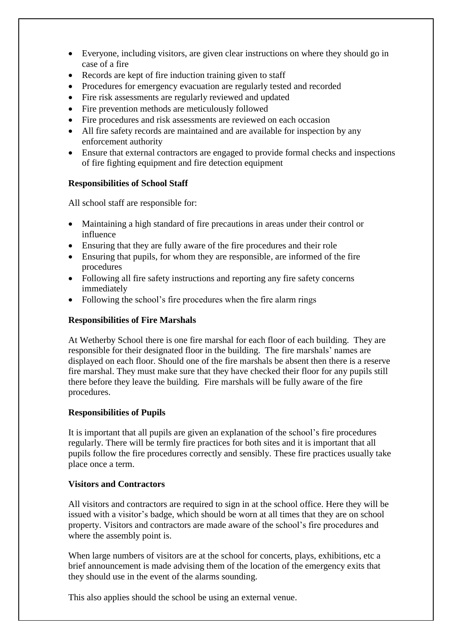- Everyone, including visitors, are given clear instructions on where they should go in case of a fire
- Records are kept of fire induction training given to staff
- Procedures for emergency evacuation are regularly tested and recorded
- Fire risk assessments are regularly reviewed and updated
- Fire prevention methods are meticulously followed
- Fire procedures and risk assessments are reviewed on each occasion
- All fire safety records are maintained and are available for inspection by any enforcement authority
- Ensure that external contractors are engaged to provide formal checks and inspections of fire fighting equipment and fire detection equipment

#### **Responsibilities of School Staff**

All school staff are responsible for:

- Maintaining a high standard of fire precautions in areas under their control or influence
- Ensuring that they are fully aware of the fire procedures and their role
- Ensuring that pupils, for whom they are responsible, are informed of the fire procedures
- Following all fire safety instructions and reporting any fire safety concerns immediately
- Following the school's fire procedures when the fire alarm rings

#### **Responsibilities of Fire Marshals**

At Wetherby School there is one fire marshal for each floor of each building. They are responsible for their designated floor in the building. The fire marshals' names are displayed on each floor. Should one of the fire marshals be absent then there is a reserve fire marshal. They must make sure that they have checked their floor for any pupils still there before they leave the building. Fire marshals will be fully aware of the fire procedures.

#### **Responsibilities of Pupils**

It is important that all pupils are given an explanation of the school's fire procedures regularly. There will be termly fire practices for both sites and it is important that all pupils follow the fire procedures correctly and sensibly. These fire practices usually take place once a term.

#### **Visitors and Contractors**

All visitors and contractors are required to sign in at the school office. Here they will be issued with a visitor's badge, which should be worn at all times that they are on school property. Visitors and contractors are made aware of the school's fire procedures and where the assembly point is.

When large numbers of visitors are at the school for concerts, plays, exhibitions, etc a brief announcement is made advising them of the location of the emergency exits that they should use in the event of the alarms sounding.

This also applies should the school be using an external venue.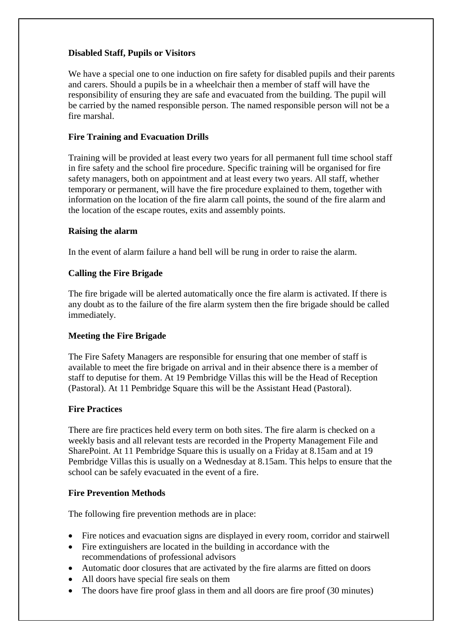# **Disabled Staff, Pupils or Visitors**

We have a special one to one induction on fire safety for disabled pupils and their parents and carers. Should a pupils be in a wheelchair then a member of staff will have the responsibility of ensuring they are safe and evacuated from the building. The pupil will be carried by the named responsible person. The named responsible person will not be a fire marshal.

#### **Fire Training and Evacuation Drills**

Training will be provided at least every two years for all permanent full time school staff in fire safety and the school fire procedure. Specific training will be organised for fire safety managers, both on appointment and at least every two years. All staff, whether temporary or permanent, will have the fire procedure explained to them, together with information on the location of the fire alarm call points, the sound of the fire alarm and the location of the escape routes, exits and assembly points.

#### **Raising the alarm**

In the event of alarm failure a hand bell will be rung in order to raise the alarm.

## **Calling the Fire Brigade**

The fire brigade will be alerted automatically once the fire alarm is activated. If there is any doubt as to the failure of the fire alarm system then the fire brigade should be called immediately.

## **Meeting the Fire Brigade**

The Fire Safety Managers are responsible for ensuring that one member of staff is available to meet the fire brigade on arrival and in their absence there is a member of staff to deputise for them. At 19 Pembridge Villas this will be the Head of Reception (Pastoral). At 11 Pembridge Square this will be the Assistant Head (Pastoral).

#### **Fire Practices**

There are fire practices held every term on both sites. The fire alarm is checked on a weekly basis and all relevant tests are recorded in the Property Management File and SharePoint. At 11 Pembridge Square this is usually on a Friday at 8.15am and at 19 Pembridge Villas this is usually on a Wednesday at 8.15am. This helps to ensure that the school can be safely evacuated in the event of a fire.

#### **Fire Prevention Methods**

The following fire prevention methods are in place:

- Fire notices and evacuation signs are displayed in every room, corridor and stairwell
- Fire extinguishers are located in the building in accordance with the recommendations of professional advisors
- Automatic door closures that are activated by the fire alarms are fitted on doors
- All doors have special fire seals on them
- The doors have fire proof glass in them and all doors are fire proof (30 minutes)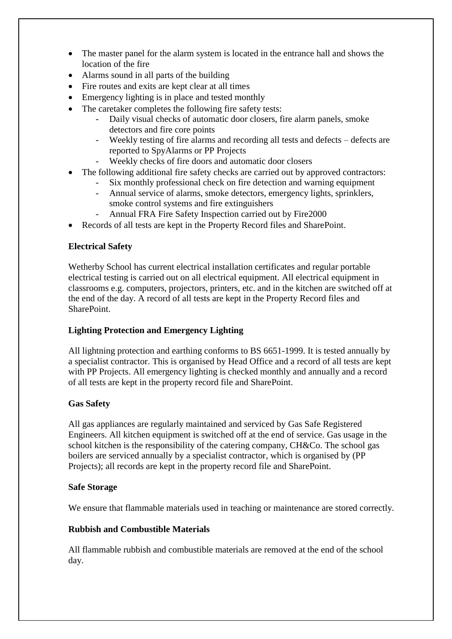- The master panel for the alarm system is located in the entrance hall and shows the location of the fire
- Alarms sound in all parts of the building
- Fire routes and exits are kept clear at all times
- Emergency lighting is in place and tested monthly
- The caretaker completes the following fire safety tests:
	- Daily visual checks of automatic door closers, fire alarm panels, smoke detectors and fire core points
	- Weekly testing of fire alarms and recording all tests and defects defects are reported to SpyAlarms or PP Projects
	- Weekly checks of fire doors and automatic door closers
- The following additional fire safety checks are carried out by approved contractors:
	- Six monthly professional check on fire detection and warning equipment
	- Annual service of alarms, smoke detectors, emergency lights, sprinklers, smoke control systems and fire extinguishers
	- Annual FRA Fire Safety Inspection carried out by Fire2000
- Records of all tests are kept in the Property Record files and SharePoint.

## **Electrical Safety**

Wetherby School has current electrical installation certificates and regular portable electrical testing is carried out on all electrical equipment. All electrical equipment in classrooms e.g. computers, projectors, printers, etc. and in the kitchen are switched off at the end of the day. A record of all tests are kept in the Property Record files and SharePoint.

## **Lighting Protection and Emergency Lighting**

All lightning protection and earthing conforms to BS 6651-1999. It is tested annually by a specialist contractor. This is organised by Head Office and a record of all tests are kept with PP Projects. All emergency lighting is checked monthly and annually and a record of all tests are kept in the property record file and SharePoint.

## **Gas Safety**

All gas appliances are regularly maintained and serviced by Gas Safe Registered Engineers. All kitchen equipment is switched off at the end of service. Gas usage in the school kitchen is the responsibility of the catering company, CH&Co. The school gas boilers are serviced annually by a specialist contractor, which is organised by (PP Projects); all records are kept in the property record file and SharePoint.

## **Safe Storage**

We ensure that flammable materials used in teaching or maintenance are stored correctly.

## **Rubbish and Combustible Materials**

All flammable rubbish and combustible materials are removed at the end of the school day.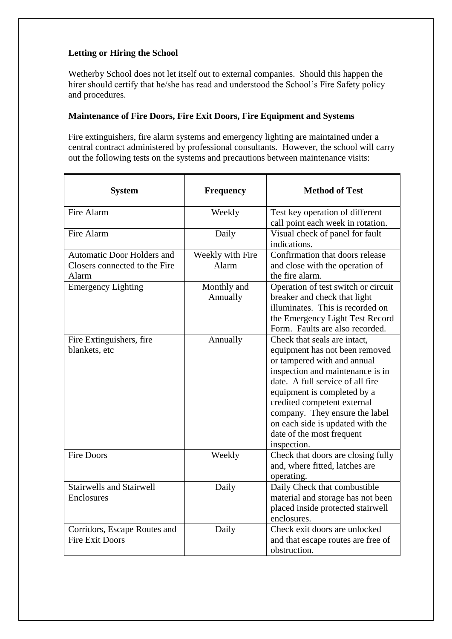# **Letting or Hiring the School**

Wetherby School does not let itself out to external companies. Should this happen the hirer should certify that he/she has read and understood the School's Fire Safety policy and procedures.

#### **Maintenance of Fire Doors, Fire Exit Doors, Fire Equipment and Systems**

Fire extinguishers, fire alarm systems and emergency lighting are maintained under a central contract administered by professional consultants. However, the school will carry out the following tests on the systems and precautions between maintenance visits:

| <b>System</b>                                                        | <b>Frequency</b>          | <b>Method of Test</b>                                                                                                                                                                                                                                                                                                                                 |
|----------------------------------------------------------------------|---------------------------|-------------------------------------------------------------------------------------------------------------------------------------------------------------------------------------------------------------------------------------------------------------------------------------------------------------------------------------------------------|
| Fire Alarm                                                           | Weekly                    | Test key operation of different<br>call point each week in rotation.                                                                                                                                                                                                                                                                                  |
| Fire Alarm                                                           | Daily                     | Visual check of panel for fault<br>indications.                                                                                                                                                                                                                                                                                                       |
| Automatic Door Holders and<br>Closers connected to the Fire<br>Alarm | Weekly with Fire<br>Alarm | Confirmation that doors release<br>and close with the operation of<br>the fire alarm.                                                                                                                                                                                                                                                                 |
| <b>Emergency Lighting</b>                                            | Monthly and<br>Annually   | Operation of test switch or circuit<br>breaker and check that light<br>illuminates. This is recorded on<br>the Emergency Light Test Record<br>Form. Faults are also recorded.                                                                                                                                                                         |
| Fire Extinguishers, fire<br>blankets, etc                            | Annually                  | Check that seals are intact,<br>equipment has not been removed<br>or tampered with and annual<br>inspection and maintenance is in<br>date. A full service of all fire<br>equipment is completed by a<br>credited competent external<br>company. They ensure the label<br>on each side is updated with the<br>date of the most frequent<br>inspection. |
| <b>Fire Doors</b>                                                    | Weekly                    | Check that doors are closing fully<br>and, where fitted, latches are<br>operating.                                                                                                                                                                                                                                                                    |
| <b>Stairwells and Stairwell</b><br>Enclosures                        | Daily                     | Daily Check that combustible<br>material and storage has not been<br>placed inside protected stairwell<br>enclosures.                                                                                                                                                                                                                                 |
| Corridors, Escape Routes and<br><b>Fire Exit Doors</b>               | Daily                     | Check exit doors are unlocked<br>and that escape routes are free of<br>obstruction.                                                                                                                                                                                                                                                                   |